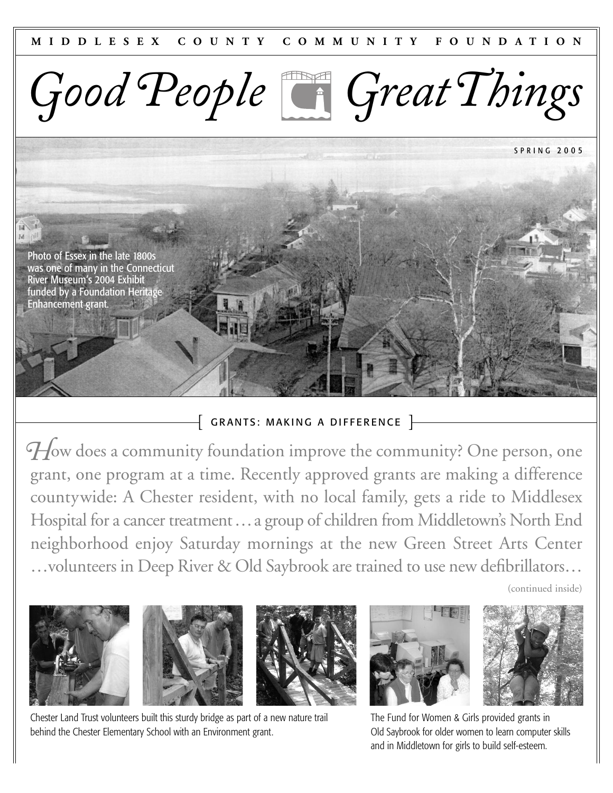

SPRING 2 005



## $\left\{ \begin{array}{l} \textsf{GRANTS: MAKING A DIFFERENCE} \end{array} \right\}$

*H* ow does a community foundation improve the community? One person, one grant, one program at a time. Recently approved grants are making a difference countywide: A Chester resident, with no local family, gets a ride to Middlesex Hospital for a cancer treatment…a group of children from Middletown's North End neighborhood enjoy Saturday mornings at the new Green Street Arts Center …volunteers in Deep River & Old Saybrook are trained to use new defibrillators…

(continued inside)









Chester Land Trust volunteers built this sturdy bridge as part of a new nature trail behind the Chester Elementary School with an Environment grant.

The Fund for Women & Girls provided grants in Old Saybrook for older women to learn computer skills and in Middletown for girls to build self-esteem.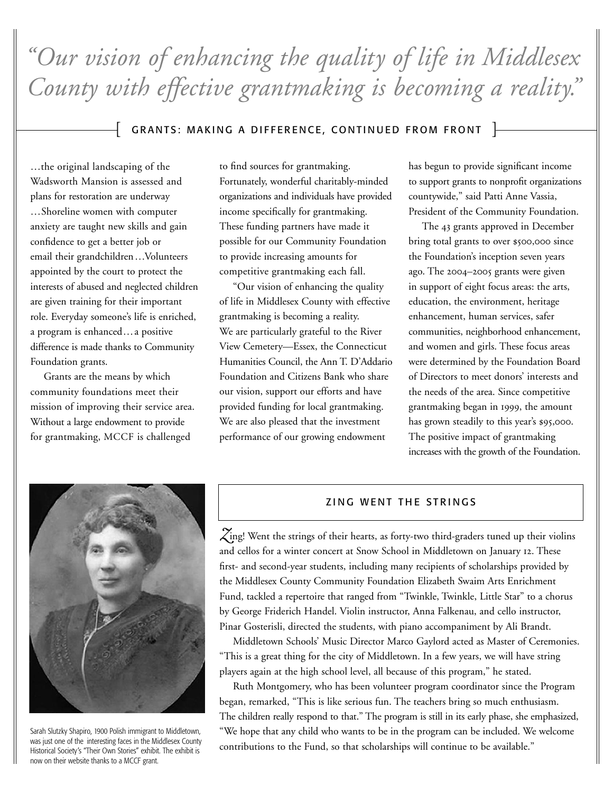*"Our vision of enhancing the quality of life in Middlesex County with effective grantmaking is becoming a reality."*

# $\left\{ \;$  GRANTS: MAKING A DIFFERENCE, CONTINUED FROM FRONT  $\;$   $\;$

…the original landscaping of the Wadsworth Mansion is assessed and plans for restoration are underway …Shoreline women with computer anxiety are taught new skills and gain confidence to get a better job or email their grandchildren…Volunteers appointed by the court to protect the interests of abused and neglected children are given training for their important role. Everyday someone's life is enriched, a program is enhanced…a positive difference is made thanks to Community Foundation grants.

Grants are the means by which community foundations meet their mission of improving their service area. Without a large endowment to provide for grantmaking, MCCF is challenged

to find sources for grantmaking. Fortunately, wonderful charitably-minded organizations and individuals have provided income specifically for grantmaking. These funding partners have made it possible for our Community Foundation to provide increasing amounts for competitive grantmaking each fall.

"Our vision of enhancing the quality of life in Middlesex County with effective grantmaking is becoming a reality. We are particularly grateful to the River View Cemetery—Essex, the Connecticut Humanities Council, the Ann T. D'Addario Foundation and Citizens Bank who share our vision, support our efforts and have provided funding for local grantmaking. We are also pleased that the investment performance of our growing endowment

has begun to provide significant income to support grants to nonprofit organizations countywide," said Patti Anne Vassia, President of the Community Foundation.

The 43 grants approved in December bring total grants to over \$500,000 since the Foundation's inception seven years ago. The 2004–2005 grants were given in support of eight focus areas: the arts, education, the environment, heritage enhancement, human services, safer communities, neighborhood enhancement, and women and girls. These focus areas were determined by the Foundation Board of Directors to meet donors' interests and the needs of the area. Since competitive grantmaking began in 1999, the amount has grown steadily to this year's \$95,000. The positive impact of grantmaking increases with the growth of the Foundation.



Sarah Slutzky Shapiro, 1900 Polish immigrant to Middletown, was just one of the interesting faces in the Middlesex County Historical Society's "Their Own Stories" exhibit. The exhibit is now on their website thanks to a MCCF grant.

### ZING WENT THE STRINGS

ing! Went the strings of their hearts, as forty-two third-graders tuned up their violins *Z*and cellos for a winter concert at Snow School in Middletown on January 12. These first- and second-year students, including many recipients of scholarships provided by the Middlesex County Community Foundation Elizabeth Swaim Arts Enrichment Fund, tackled a repertoire that ranged from "Twinkle, Twinkle, Little Star" to a chorus by George Friderich Handel. Violin instructor, Anna Falkenau, and cello instructor, Pinar Gosterisli, directed the students, with piano accompaniment by Ali Brandt.

Middletown Schools' Music Director Marco Gaylord acted as Master of Ceremonies. "This is a great thing for the city of Middletown. In a few years, we will have string players again at the high school level, all because of this program," he stated.

Ruth Montgomery, who has been volunteer program coordinator since the Program began, remarked, "This is like serious fun. The teachers bring so much enthusiasm. The children really respond to that." The program is still in its early phase, she emphasized, "We hope that any child who wants to be in the program can be included. We welcome contributions to the Fund, so that scholarships will continue to be available."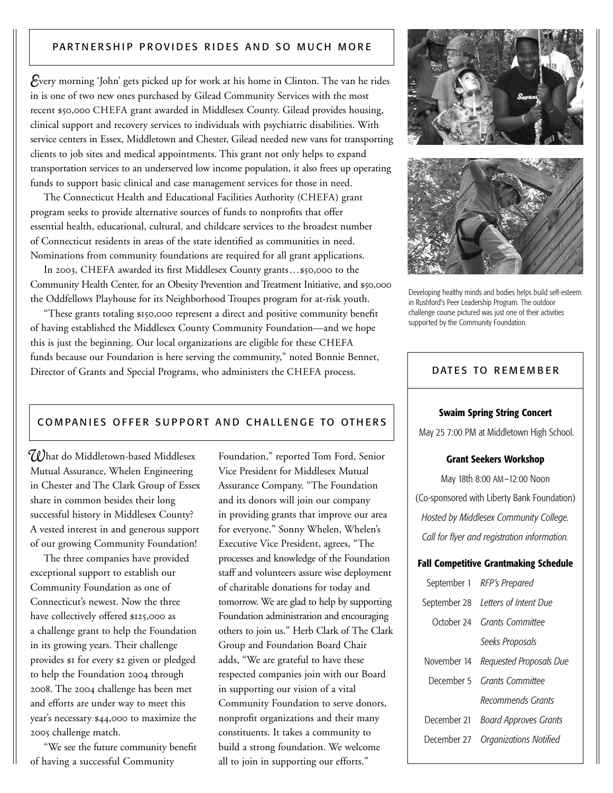## PARTNERSHIP PROVIDES RIDES AND SO MUCH MORE

*E*very morning 'John' gets picked up for work at his home in Clinton. The van he rides in is one of two new ones purchased by Gilead Community Services with the most recent \$50,000 CHEFA grant awarded in Middlesex County. Gilead provides housing, clinical support and recovery services to individuals with psychiatric disabilities. With service centers in Essex, Middletown and Chester, Gilead needed new vans for transporting clients to job sites and medical appointments. This grant not only helps to expand transportation services to an underserved low income population, it also frees up operating funds to support basic clinical and case management services for those in need.

The Connecticut Health and Educational Facilities Authority (CHEFA) grant program seeks to provide alternative sources of funds to nonprofits that offer essential health, educational, cultural, and childcare services to the broadest number of Connecticut residents in areas of the state identified as communities in need. Nominations from community foundations are required for all grant applications.

In 2003, CHEFA awarded its first Middlesex County grants…\$50,000 to the Community Health Center, for an Obesity Prevention and Treatment Initiative, and \$50,000 the Oddfellows Playhouse for its Neighborhood Troupes program for at-risk youth.

"These grants totaling \$150,000 represent a direct and positive community benefit of having established the Middlesex County Community Foundation—and we hope this is just the beginning. Our local organizations are eligible for these CHEFA funds because our Foundation is here serving the community," noted Bonnie Bennet, Director of Grants and Special Programs, who administers the CHEFA process.

### COMPANIES OFFER SUPPORT AND CHALLENGE TO OTHERS

*W*hat do Middletown-based Middlesex Mutual Assurance, Whelen Engineering in Chester and The Clark Group of Essex share in common besides their long successful history in Middlesex County? A vested interest in and generous support of our growing Community Foundation!

The three companies have provided exceptional support to establish our Community Foundation as one of Connecticut's newest. Now the three have collectively offered \$125,000 as a challenge grant to help the Foundation in its growing years. Their challenge provides \$1 for every \$2 given or pledged to help the Foundation 2004 through 2008. The 2004 challenge has been met and efforts are under way to meet this year's necessary \$44,000 to maximize the 2005 challenge match.

"We see the future community benefit of having a successful Community

Foundation," reported Tom Ford, Senior Vice President for Middlesex Mutual Assurance Company. "The Foundation and its donors will join our company in providing grants that improve our area for everyone." Sonny Whelen, Whelen's Executive Vice President, agrees, "The processes and knowledge of the Foundation staff and volunteers assure wise deployment of charitable donations for today and tomorrow. We are glad to help by supporting Foundation administration and encouraging others to join us." Herb Clark of The Clark Group and Foundation Board Chair adds, "We are grateful to have these respected companies join with our Board in supporting our vision of a vital Community Foundation to serve donors, nonprofit organizations and their many constituents. It takes a community to build a strong foundation. We welcome all to join in supporting our efforts."



Developing healthy minds and bodies helps build self-esteem in Rushford's Peer Leadership Program. The outdoor challenge course pictured was just one of their activities supported by the Community Foundation.

### DATES TO REMEMBER

#### **Swaim Spring String Concert**

May 25 7:00 PM at Middletown High School.

#### **Grant Seekers Workshop**

May 18th 8:00 AM–12:00 Noon (Co-sponsored with Liberty Bank Foundation) *Hosted by Middlesex Community College. Call for flyer and registration information.*

#### **Fall Competitive Grantmaking Schedule**

| September 1 RFP's Prepared          |
|-------------------------------------|
| September 28 Letters of Intent Due  |
| October 24 Grants Committee         |
| Seeks Proposals                     |
| November 14 Requested Proposals Due |
| December 5 Grants Committee         |
| Recommends Grants                   |
| December 21 Board Approves Grants   |
| December 27 Organizations Notified  |
|                                     |